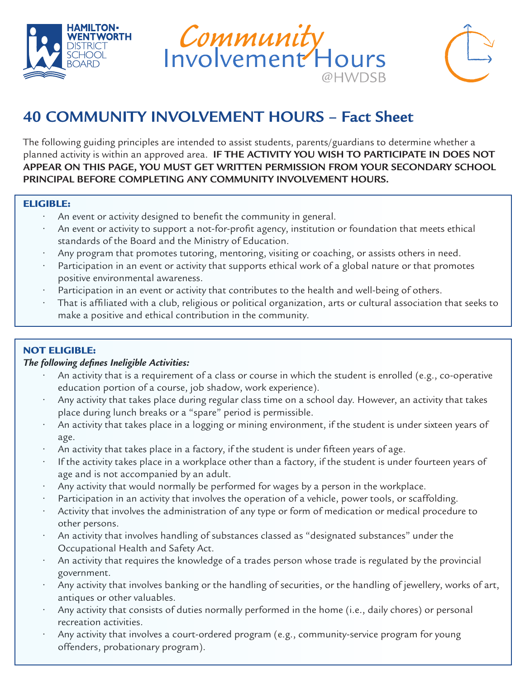





# **40 COMMUNITY INVOLVEMENT HOURS – Fact Sheet**

The following guiding principles are intended to assist students, parents/guardians to determine whether a planned activity is within an approved area. **IF THE ACTIVITY YOU WISH TO PARTICIPATE IN DOES NOT APPEAR ON THIS PAGE, YOU MUST GET WRITTEN PERMISSION FROM YOUR SECONDARY SCHOOL PRINCIPAL BEFORE COMPLETING ANY COMMUNITY INVOLVEMENT HOURS.**

#### ELIGIBLE:

֦

- An event or activity designed to benefit the community in general.
- An event or activity to support a not-for-profit agency, institution or foundation that meets ethical standards of the Board and the Ministry of Education.
- Any program that promotes tutoring, mentoring, visiting or coaching, or assists others in need.
- Participation in an event or activity that supports ethical work of a global nature or that promotes positive environmental awareness.
- Participation in an event or activity that contributes to the health and well-being of others.
- That is affiliated with a club, religious or political organization, arts or cultural association that seeks to make a positive and ethical contribution in the community.

## NOT ELIGIBLE:

#### *The following defines Ineligible Activities:*

- An activity that is a requirement of a class or course in which the student is enrolled (e.g., co-operative education portion of a course, job shadow, work experience).
- Any activity that takes place during regular class time on a school day. However, an activity that takes place during lunch breaks or a "spare" period is permissible.
- An activity that takes place in a logging or mining environment, if the student is under sixteen years of age.
- An activity that takes place in a factory, if the student is under fifteen years of age.
- If the activity takes place in a workplace other than a factory, if the student is under fourteen years of age and is not accompanied by an adult.
- Any activity that would normally be performed for wages by a person in the workplace.
- Participation in an activity that involves the operation of a vehicle, power tools, or scaffolding.
- Activity that involves the administration of any type or form of medication or medical procedure to other persons.
- An activity that involves handling of substances classed as "designated substances" under the Occupational Health and Safety Act.
- An activity that requires the knowledge of a trades person whose trade is regulated by the provincial government.
- Any activity that involves banking or the handling of securities, or the handling of jewellery, works of art, antiques or other valuables.
- Any activity that consists of duties normally performed in the home (i.e., daily chores) or personal recreation activities.
- Any activity that involves a court-ordered program (e.g., community-service program for young offenders, probationary program).